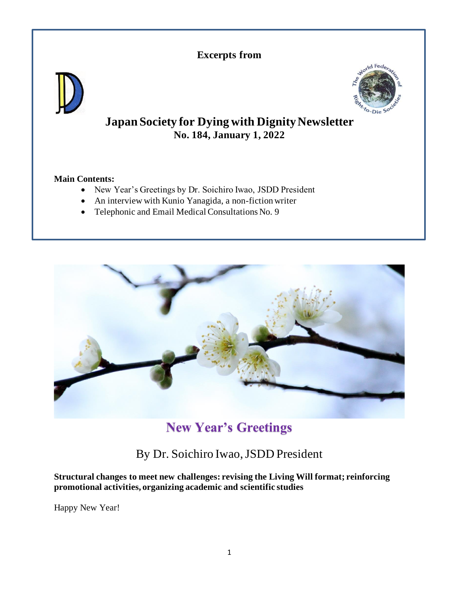# **Excerpts from**





# **Japan Society for Dying with Dignity Newsletter No. 184, January 1, 2022**

# **Main Contents:**

- New Year's Greetings by Dr. Soichiro Iwao, JSDD President
- An interview with Kunio Yanagida, a non-fiction writer
- Telephonic and Email Medical Consultations No. 9



# **New Year's Greetings**

# By Dr. Soichiro Iwao, JSDD President

**Structural changes to meet new challenges: revising the Living Will format; reinforcing promotional activities, organizing academic and scientific studies**

Happy New Year!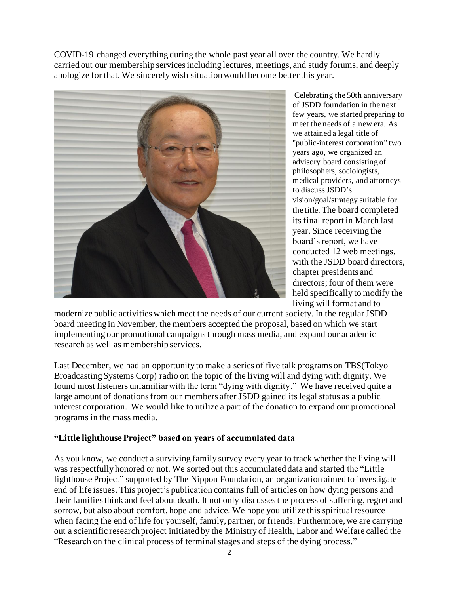COVID-19 changed everything during the whole past year all over the country. We hardly carried out our membership services including lectures, meetings, and study forums, and deeply apologize for that. We sincerely wish situation would become better this year.



Celebrating the 50th anniversary of JSDD foundation in the next few years, we started preparing to meet the needs of a new era. As we attained a legal title of "public-interest corporation" two years ago, we organized an advisory board consisting of philosophers, sociologists, medical providers, and attorneys to discuss JSDD's vision/goal/strategy suitable for the title. The board completed its final report in March last year. Since receiving the board's report, we have conducted 12 web meetings, with the JSDD board directors, chapter presidents and directors; four of them were held specifically to modify the living will format and to

modernize public activities which meet the needs of our current society. In the regular JSDD board meeting in November, the members accepted the proposal, based on which we start implementing our promotional campaigns through mass media, and expand our academic research as well as membership services.

Last December, we had an opportunity to make a series of five talk programs on TBS(Tokyo Broadcasting Systems Corp) radio on the topic of the living will and dying with dignity. We found most listeners unfamiliar with the term "dying with dignity." We have received quite a large amount of donations from our members after JSDD gained its legal status as a public interest corporation. We would like to utilize a part of the donation to expand our promotional programs in the mass media.

# **"Little lighthouse Project" based on years of accumulated data**

As you know, we conduct a surviving family survey every year to track whether the living will was respectfully honored or not. We sorted out this accumulated data and started the "Little lighthouse Project" supported by The Nippon Foundation, an organization aimed to investigate end of life issues. This project's publication contains full of articles on how dying persons and their families think and feel about death. It not only discusses the process of suffering, regret and sorrow, but also about comfort, hope and advice. We hope you utilize this spiritual resource when facing the end of life for yourself, family, partner, or friends. Furthermore, we are carrying out a scientific research project initiated by the Ministry of Health, Labor and Welfare called the "Research on the clinical process of terminal stages and steps of the dying process."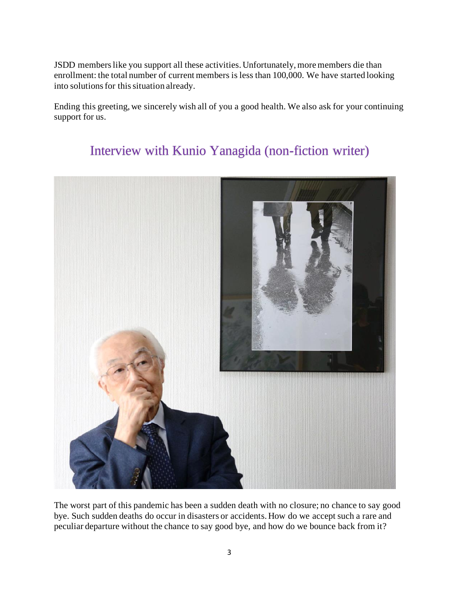JSDD members like you support all these activities. Unfortunately, more members die than enrollment: the total number of current members is less than 100,000. We have started looking into solutions for this situation already.

Ending this greeting, we sincerely wish all of you a good health. We also ask for your continuing support for us.

# Interview with Kunio Yanagida (non-fiction writer)



The worst part of this pandemic has been a sudden death with no closure; no chance to say good bye. Such sudden deaths do occur in disasters or accidents. How do we accept such a rare and peculiar departure without the chance to say good bye, and how do we bounce back from it?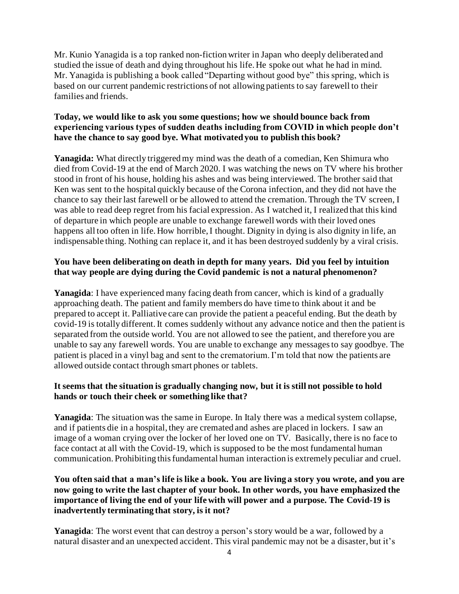Mr. Kunio Yanagida is a top ranked non-fiction writer in Japan who deeply deliberated and studied the issue of death and dying throughout his life. He spoke out what he had in mind. Mr. Yanagida is publishing a book called "Departing without good bye" this spring, which is based on our current pandemic restrictions of not allowing patients to say farewell to their families and friends.

# **Today, we would like to ask you some questions; how we should bounce back from experiencing various types of sudden deaths including from COVID in which people don't have the chance to say good bye. What motivated you to publish this book?**

**Yanagida:** What directly triggered my mind was the death of a comedian, Ken Shimura who died from Covid-19 at the end of March 2020. I was watching the news on TV where his brother stood in front of his house, holding his ashes and was being interviewed. The brother said that Ken was sent to the hospital quickly because of the Corona infection, and they did not have the chance to say their last farewell or be allowed to attend the cremation. Through the TV screen, I was able to read deep regret from his facial expression. As I watched it, I realized that this kind of departure in which people are unable to exchange farewell words with their loved ones happens all too often in life. How horrible, I thought. Dignity in dying is also dignity in life, an indispensable thing. Nothing can replace it, and it has been destroyed suddenly by a viral crisis.

# **You have been deliberating on death in depth for many years. Did you feel by intuition that way people are dying during the Covid pandemic is not a natural phenomenon?**

**Yanagida**: I have experienced many facing death from cancer, which is kind of a gradually approaching death. The patient and family members do have time to think about it and be prepared to accept it. Palliative care can provide the patient a peaceful ending. But the death by covid-19 is totally different. It comes suddenly without any advance notice and then the patient is separated from the outside world. You are not allowed to see the patient, and therefore you are unable to say any farewell words. You are unable to exchange any messagesto say goodbye. The patient is placed in a vinyl bag and sent to the crematorium. I'm told that now the patients are allowed outside contact through smart phones or tablets.

#### **It seems that the situation is gradually changing now, but it is still not possible to hold hands or touch their cheek or something like that?**

**Yanagida**: The situation was the same in Europe. In Italy there was a medical system collapse, and if patients die in a hospital, they are cremated and ashes are placed in lockers. I saw an image of a woman crying over the locker of her loved one on TV. Basically, there is no face to face contact at all with the Covid-19, which is supposed to be the most fundamental human communication. Prohibiting this fundamental human interaction is extremely peculiar and cruel.

# **You often said that a man's life is like a book. You are living a story you wrote, and you are now going to write the last chapter of your book. In other words, you have emphasized the importance of living the end of your life with will power and a purpose. The Covid-19 is inadvertently terminating that story, is it not?**

**Yanagida**: The worst event that can destroy a person's story would be a war, followed by a natural disaster and an unexpected accident. This viral pandemic may not be a disaster, but it's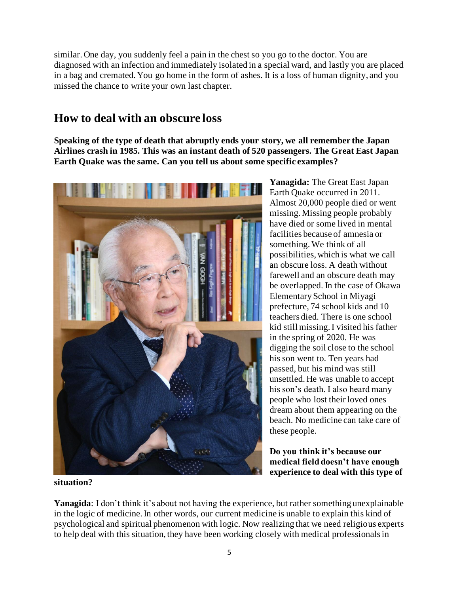similar. One day, you suddenly feel a pain in the chest so you go to the doctor. You are diagnosed with an infection and immediately isolated in a special ward, and lastly you are placed in a bag and cremated. You go home in the form of ashes. It is a loss of human dignity, and you missed the chance to write your own last chapter.

# **How to deal with an obscure loss**

**Speaking of the type of death that abruptly ends your story, we all remember the Japan Airlines crash in 1985. This was an instant death of 520 passengers. The Great East Japan Earth Quake was the same. Can you tell us about some specific examples?**



**Yanagida:** The Great East Japan Earth Quake occurred in 2011. Almost 20,000 people died or went missing. Missing people probably have died or some lived in mental facilities because of amnesia or something. We think of all possibilities, which is what we call an obscure loss. A death without farewell and an obscure death may be overlapped. In the case of Okawa Elementary School in Miyagi prefecture, 74 school kids and 10 teachers died. There is one school kid still missing. I visited his father in the spring of 2020. He was digging the soil close to the school his son went to. Ten years had passed, but his mind was still unsettled. He was unable to accept his son's death. I also heard many people who lost their loved ones dream about them appearing on the beach. No medicine can take care of these people.

**Do you think it's because our medical field doesn't have enough experience to deal with this type of** 

**situation?**

**Yanagida**: I don't think it's about not having the experience, but rather something unexplainable in the logic of medicine. In other words, our current medicine is unable to explain this kind of psychological and spiritual phenomenon with logic. Now realizing that we need religious experts to help deal with this situation, they have been working closely with medical professionals in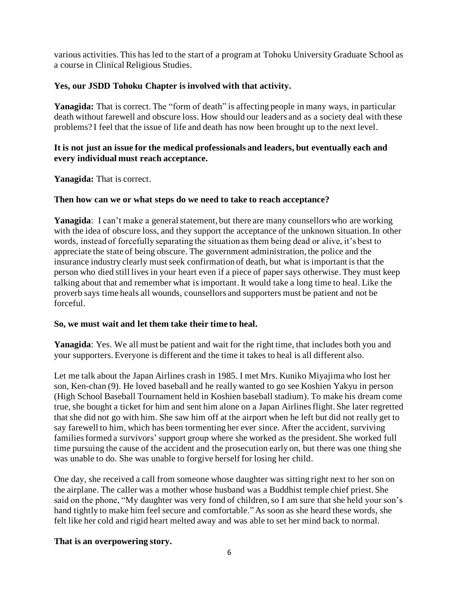various activities. This has led to the start of a program at Tohoku University Graduate School as a course in Clinical Religious Studies.

# **Yes, our JSDD Tohoku Chapter is involved with that activity.**

**Yanagida:** That is correct. The "form of death" is affecting people in many ways, in particular death without farewell and obscure loss. How should our leaders and as a society deal with these problems? I feel that the issue of life and death has now been brought up to the next level.

# **It is not just an issue for the medical professionals and leaders, but eventually each and every individual must reach acceptance.**

**Yanagida:** That is correct.

#### **Then how can we or what steps do we need to take to reach acceptance?**

**Yanagida**: I can't make a general statement, but there are many counsellors who are working with the idea of obscure loss, and they support the acceptance of the unknown situation. In other words, instead of forcefully separating the situation as them being dead or alive, it's best to appreciate the state of being obscure. The government administration, the police and the insurance industry clearly must seek confirmation of death, but what is important is that the person who died still lives in your heart even if a piece of paper says otherwise. They must keep talking about that and remember what is important. It would take a long time to heal. Like the proverb says time heals all wounds, counsellors and supporters must be patient and not be forceful.

# **So, we must wait and let them take their time to heal.**

**Yanagida**: Yes. We all must be patient and wait for the right time, that includes both you and your supporters. Everyone is different and the time it takes to heal is all different also.

Let me talk about the Japan Airlines crash in 1985. I met Mrs. Kuniko Miyajima who lost her son, Ken-chan (9). He loved baseball and he really wanted to go see Koshien Yakyu in person (High School Baseball Tournament held in Koshien baseball stadium). To make his dream come true, she bought a ticket for him and sent him alone on a Japan Airlines flight. She later regretted that she did not go with him. She saw him off at the airport when he left but did not really get to say farewell to him, which has been tormenting her ever since. After the accident, surviving families formed a survivors' support group where she worked as the president. She worked full time pursuing the cause of the accident and the prosecution early on, but there was one thing she was unable to do. She was unable to forgive herself for losing her child.

One day, she received a call from someone whose daughter was sitting right next to her son on the airplane. The caller was a mother whose husband was a Buddhist temple chief priest. She said on the phone, "My daughter was very fond of children, so I am sure that she held your son's hand tightly to make him feel secure and comfortable." As soon as she heard these words, she felt like her cold and rigid heart melted away and was able to set her mind back to normal.

# **That is an overpowering story.**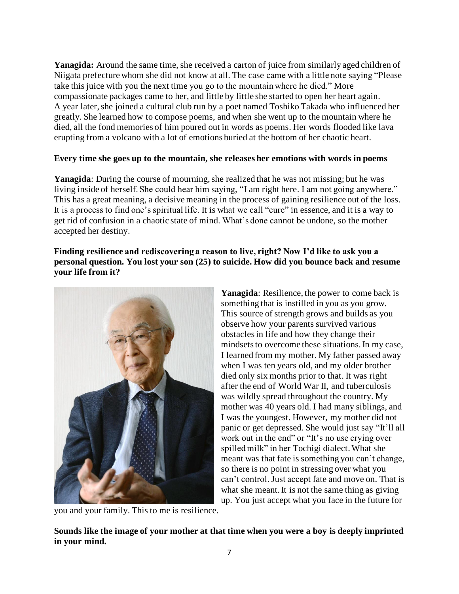**Yanagida:** Around the same time, she received a carton of juice from similarly aged children of Niigata prefecture whom she did not know at all. The case came with a little note saying "Please take this juice with you the next time you go to the mountain where he died." More compassionate packages came to her, and little by little she started to open her heart again. A year later, she joined a cultural club run by a poet named Toshiko Takada who influenced her greatly. She learned how to compose poems, and when she went up to the mountain where he died, all the fond memories of him poured out in words as poems. Her words flooded like lava erupting from a volcano with a lot of emotions buried at the bottom of her chaotic heart.

#### **Every time she goes up to the mountain, she releases her emotions with words in poems**

**Yanagida**: During the course of mourning, she realized that he was not missing; but he was living inside of herself. She could hear him saying, "I am right here. I am not going anywhere." This has a great meaning, a decisive meaning in the process of gaining resilience out of the loss. It is a process to find one's spiritual life. It is what we call "cure" in essence, and it is a way to get rid of confusion in a chaotic state of mind. What's done cannot be undone, so the mother accepted her destiny.

**Finding resilience and rediscovering a reason to live, right? Now I'd like to ask you a personal question. You lost your son (25) to suicide. How did you bounce back and resume your life from it?**



you and your family. This to me is resilience.

**Yanagida**: Resilience, the power to come back is something that is instilled in you as you grow. This source of strength grows and builds as you observe how your parents survived various obstacles in life and how they change their mindsets to overcome these situations. In my case, I learned from my mother. My father passed away when I was ten years old, and my older brother died only six months prior to that. It was right after the end of World War II, and tuberculosis was wildly spread throughout the country. My mother was 40 years old. I had many siblings, and I was the youngest. However, my mother did not panic or get depressed. She would just say "It'll all work out in the end" or "It's no use crying over spilled milk" in her Tochigi dialect. What she meant was that fate is something you can't change, so there is no point in stressing over what you can't control. Just accept fate and move on. That is what she meant. It is not the same thing as giving up. You just accept what you face in the future for

**Sounds like the image of your mother at that time when you were a boy is deeply imprinted in your mind.**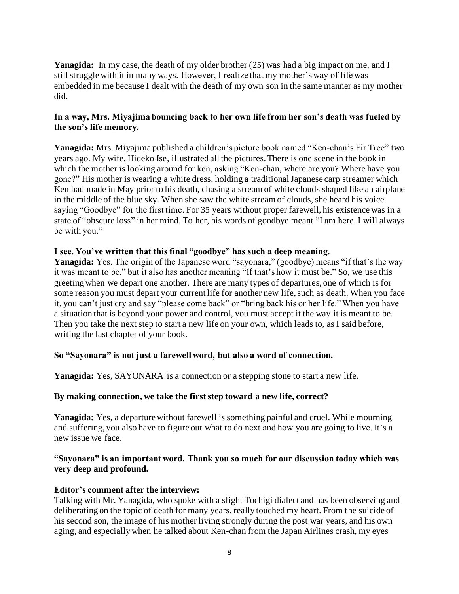Yanagida: In my case, the death of my older brother (25) was had a big impact on me, and I still struggle with it in many ways. However, I realize that my mother's way of life was embedded in me because I dealt with the death of my own son in the same manner as my mother did.

#### **In a way, Mrs. Miyajima bouncing back to her own life from her son's death was fueled by the son's life memory.**

**Yanagida:** Mrs. Miyajima published a children's picture book named "Ken-chan's Fir Tree" two years ago. My wife, Hideko Ise, illustrated all the pictures.There is one scene in the book in which the mother is looking around for ken, asking "Ken-chan, where are you? Where have you gone?" His mother is wearing a white dress, holding a traditional Japanese carp streamer which Ken had made in May prior to his death, chasing a stream of white clouds shaped like an airplane in the middle of the blue sky. When she saw the white stream of clouds, she heard his voice saying "Goodbye" for the first time. For 35 years without proper farewell, his existence was in a state of "obscure loss" in her mind. To her, his words of goodbye meant "I am here. I will always be with you."

#### **I see. You've written that this final "goodbye" has such a deep meaning.**

Yanagida: Yes. The origin of the Japanese word "sayonara," (goodbye) means "if that's the way it was meant to be," but it also has another meaning "if that's how it must be." So, we use this greeting when we depart one another. There are many types of departures, one of which is for some reason you must depart your current life for another new life, such as death. When you face it, you can't just cry and say "please come back" or "bring back his or her life." When you have a situation that is beyond your power and control, you must accept it the way it is meant to be. Then you take the next step to start a new life on your own, which leads to, as I said before, writing the last chapter of your book.

# **So "Sayonara" is not just a farewell word, but also a word of connection.**

**Yanagida:** Yes, SAYONARA is a connection or a stepping stone to start a new life.

#### **By making connection, we take the first step toward a new life, correct?**

**Yanagida:** Yes, a departure without farewell is something painful and cruel. While mourning and suffering, you also have to figure out what to do next and how you are going to live. It's a new issue we face.

#### **"Sayonara" is an important word. Thank you so much for our discussion today which was very deep and profound.**

#### **Editor's comment after the interview:**

Talking with Mr. Yanagida, who spoke with a slight Tochigi dialect and has been observing and deliberating on the topic of death for many years, really touched my heart. From the suicide of his second son, the image of his mother living strongly during the post war years, and his own aging, and especially when he talked about Ken-chan from the Japan Airlines crash, my eyes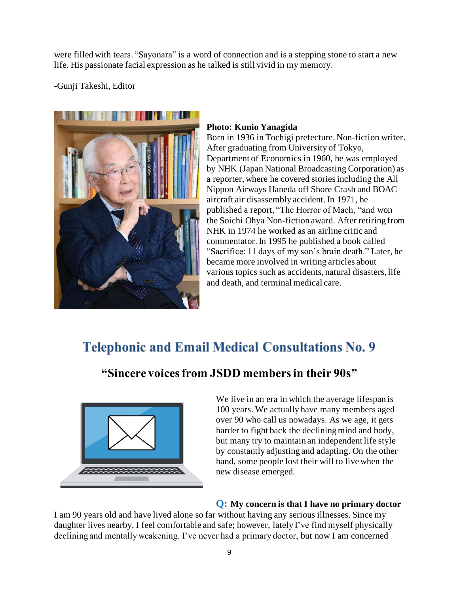were filled with tears. "Sayonara" is a word of connection and is a stepping stone to start a new life. His passionate facial expression as he talked is still vivid in my memory.

-Gunji Takeshi, Editor



#### **Photo: Kunio Yanagida**

Born in 1936 in Tochigi prefecture. Non-fiction writer. After graduating from University of Tokyo, Department of Economics in 1960, he was employed by NHK (Japan National Broadcasting Corporation) as a reporter, where he covered stories including the All Nippon Airways Haneda off Shore Crash and BOAC aircraft air disassembly accident. In 1971, he published a report, "The Horror of Mach, "and won the Soichi Ohya Non-fiction award. After retiring from NHK in 1974 he worked as an airline critic and commentator. In 1995 he published a book called "Sacrifice: 11 days of my son's brain death." Later, he became more involved in writing articles about various topics such as accidents, natural disasters, life and death, and terminal medical care.

# **Telephonic and Email Medical Consultations No. 9**

# **"Sincere voices from JSDD members in their 90s"**



We live in an era in which the average lifespan is 100 years. We actually have many members aged over 90 who call us nowadays. As we age, it gets harder to fight back the declining mind and body, but many try to maintain an independent life style by constantly adjusting and adapting. On the other hand, some people lost their will to live when the new disease emerged.

# **Q: My concern is that I have no primary doctor**

I am 90 years old and have lived alone so far without having any serious illnesses. Since my daughter lives nearby, I feel comfortable and safe; however, lately I've find myself physically declining and mentally weakening. I've never had a primary doctor, but now I am concerned